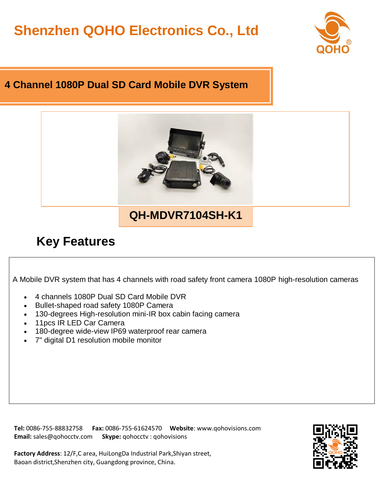## **Shenzhen QOHO Electronics Co., Ltd**



## **4 Channel 1080P Dual SD Card Mobile DVR System**



## **Key Features**

A Mobile DVR system that has 4 channels with road safety front camera 1080P high-resolution cameras

- 4 channels 1080P Dual SD Card Mobile DVR
- Bullet-shaped road safety 1080P Camera
- 130-degrees High-resolution mini-IR box cabin facing camera
- 11pcs IR LED Car Camera
- 180-degree wide-view IP69 waterproof rear camera
- 7" digital D1 resolution mobile monitor

**Tel:** 0086-755-88832758 **Fax:** 0086-755-61624570 **Website**: www.qohovisions.com **Email:** sales@qohocctv.com **Skype:** qohocctv : qohovisions

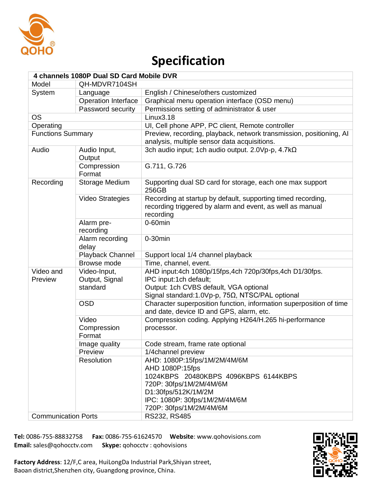

## **Specification**

| 4 channels 1080P Dual SD Card Mobile DVR |                          |                                                                                                                                        |
|------------------------------------------|--------------------------|----------------------------------------------------------------------------------------------------------------------------------------|
| Model                                    | QH-MDVR7104SH            |                                                                                                                                        |
| System                                   | Language                 | English / Chinese/others customized                                                                                                    |
|                                          | Operation Interface      | Graphical menu operation interface (OSD menu)                                                                                          |
|                                          | Password security        | Permissions setting of administrator & user                                                                                            |
| <b>OS</b>                                |                          | Linux3.18                                                                                                                              |
| Operating                                |                          | UI, Cell phone APP, PC client, Remote controller                                                                                       |
| <b>Functions Summary</b>                 |                          | Preview, recording, playback, network transmission, positioning, AI<br>analysis, multiple sensor data acquisitions.                    |
| Audio                                    | Audio Input,<br>Output   | 3ch audio input; 1ch audio output. 2.0Vp-p, 4.7k $\Omega$                                                                              |
|                                          | Compression<br>Format    | G.711, G.726                                                                                                                           |
| Recording                                | Storage Medium           | Supporting dual SD card for storage, each one max support<br>256GB                                                                     |
|                                          | <b>Video Strategies</b>  | Recording at startup by default, supporting timed recording,<br>recording triggered by alarm and event, as well as manual<br>recording |
|                                          | Alarm pre-<br>recording  | $0-60$ min                                                                                                                             |
|                                          | Alarm recording<br>delay | $0-30$ min                                                                                                                             |
|                                          | Playback Channel         | Support local 1/4 channel playback                                                                                                     |
|                                          | Browse mode              | Time, channel, event.                                                                                                                  |
| Video and                                | Video-Input,             | AHD input:4ch 1080p/15fps,4ch 720p/30fps,4ch D1/30fps.                                                                                 |
| Preview                                  | Output, Signal           | IPC input:1ch default;                                                                                                                 |
|                                          | standard                 | Output: 1ch CVBS default, VGA optional                                                                                                 |
|                                          |                          | Signal standard: 1.0Vp-p, 75Ω, NTSC/PAL optional                                                                                       |
|                                          | <b>OSD</b>               | Character superposition function, information superposition of time<br>and date, device ID and GPS, alarm, etc.                        |
|                                          | Video                    | Compression coding. Applying H264/H.265 hi-performance                                                                                 |
|                                          | Compression<br>Format    | processor.                                                                                                                             |
|                                          | Image quality            | Code stream, frame rate optional                                                                                                       |
|                                          | Preview                  | 1/4channel preview                                                                                                                     |
|                                          | Resolution               | AHD: 1080P:15fps/1M/2M/4M/6M                                                                                                           |
|                                          |                          | AHD 1080P:15fps                                                                                                                        |
|                                          |                          | 1024KBPS 20480KBPS 4096KBPS 6144KBPS                                                                                                   |
|                                          |                          | 720P: 30fps/1M/2M/4M/6M                                                                                                                |
|                                          |                          | D1:30fps/512K/1M/2M                                                                                                                    |
|                                          |                          | IPC: 1080P: 30fps/1M/2M/4M/6M                                                                                                          |
|                                          |                          | 720P: 30fps/1M/2M/4M/6M                                                                                                                |
| <b>Communication Ports</b>               |                          | RS232, RS485                                                                                                                           |

**Tel:** 0086-755-88832758 **Fax:** 0086-755-61624570 **Website**: www.qohovisions.com **Email:** sales@qohocctv.com **Skype:** qohocctv : qohovisions

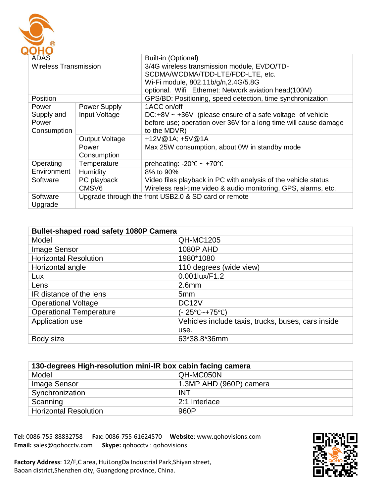

| ADAS                  |                                                      | Built-in (Optional)                                              |
|-----------------------|------------------------------------------------------|------------------------------------------------------------------|
| Wireless Transmission |                                                      | 3/4G wireless transmission module, EVDO/TD-                      |
|                       |                                                      | SCDMA/WCDMA/TDD-LTE/FDD-LTE, etc.                                |
|                       |                                                      | Wi-Fi module, 802.11b/g/n, 2.4G/5.8G                             |
|                       |                                                      | optional. Wifi Ethernet: Network aviation head(100M)             |
| Position              |                                                      | GPS/BD: Positioning, speed detection, time synchronization       |
| Power                 | Power Supply                                         | 1ACC on/off                                                      |
| Supply and            | Input Voltage                                        | $DC: +8V \sim +36V$ (please ensure of a safe voltage of vehicle  |
| Power                 |                                                      | before use; operation over 36V for a long time will cause damage |
| Consumption           |                                                      | to the MDVR)                                                     |
|                       | <b>Output Voltage</b>                                | +12V@1A; +5V@1A                                                  |
|                       | Power                                                | Max 25W consumption, about 0W in standby mode                    |
|                       | Consumption                                          |                                                                  |
| Operating             | Temperature                                          | preheating: $-20^{\circ}$ C ~ $+70^{\circ}$ C                    |
| Environment           | Humidity                                             | 8% to 90%                                                        |
| Software              | PC playback                                          | Video files playback in PC with analysis of the vehicle status   |
|                       | CMSV6                                                | Wireless real-time video & audio monitoring, GPS, alarms, etc.   |
| Software<br>Upgrade   | Upgrade through the front USB2.0 & SD card or remote |                                                                  |

| <b>Bullet-shaped road safety 1080P Camera</b> |                                                    |
|-----------------------------------------------|----------------------------------------------------|
| Model                                         | <b>QH-MC1205</b>                                   |
| <b>Image Sensor</b>                           | 1080P AHD                                          |
| <b>Horizontal Resolution</b>                  | 1980*1080                                          |
| Horizontal angle                              | 110 degrees (wide view)                            |
| Lux                                           | 0.001lux/F1.2                                      |
| Lens                                          | 2.6 <sub>mm</sub>                                  |
| IR distance of the lens                       | 5 <sub>mm</sub>                                    |
| <b>Operational Voltage</b>                    | DC <sub>12</sub> V                                 |
| <b>Operational Temperature</b>                | (- 25°C~+75°C)                                     |
| Application use                               | Vehicles include taxis, trucks, buses, cars inside |
|                                               | use.                                               |
| Body size                                     | 63*38.8*36mm                                       |

| 130-degrees High-resolution mini-IR box cabin facing camera |                         |
|-------------------------------------------------------------|-------------------------|
| Model                                                       | QH-MC050N               |
| Image Sensor                                                | 1.3MP AHD (960P) camera |
| Synchronization                                             | <b>INT</b>              |
| Scanning                                                    | 2:1 Interlace           |
| <b>Horizontal Resolution</b>                                | 960P                    |



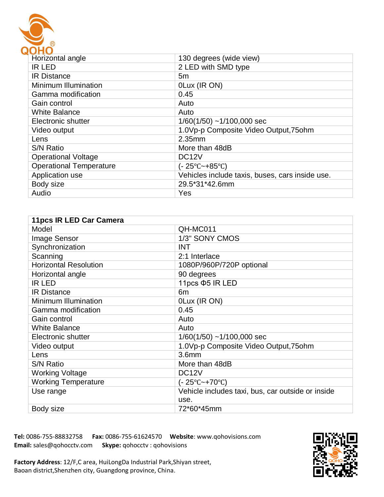

| $\sim$                         |                                                 |
|--------------------------------|-------------------------------------------------|
| Horizontal angle               | 130 degrees (wide view)                         |
| <b>IR LED</b>                  | 2 LED with SMD type                             |
| <b>IR Distance</b>             | 5m                                              |
| Minimum Illumination           | OLux (IR ON)                                    |
| Gamma modification             | 0.45                                            |
| Gain control                   | Auto                                            |
| <b>White Balance</b>           | Auto                                            |
| Electronic shutter             | $1/60(1/50)$ ~1/100,000 sec                     |
| Video output                   | 1.0Vp-p Composite Video Output, 75ohm           |
| Lens                           | 2.35mm                                          |
| <b>S/N Ratio</b>               | More than 48dB                                  |
| <b>Operational Voltage</b>     | DC <sub>12</sub> V                              |
| <b>Operational Temperature</b> | (- 25°C~+85°C)                                  |
| Application use                | Vehicles include taxis, buses, cars inside use. |
| Body size                      | 29.5*31*42.6mm                                  |
| Audio                          | Yes                                             |

| 11pcs IR LED Car Camera      |                                                   |
|------------------------------|---------------------------------------------------|
| Model                        | QH-MC011                                          |
| Image Sensor                 | 1/3" SONY CMOS                                    |
| Synchronization              | <b>INT</b>                                        |
| Scanning                     | 2:1 Interlace                                     |
| <b>Horizontal Resolution</b> | 1080P/960P/720P optional                          |
| Horizontal angle             | 90 degrees                                        |
| <b>IR LED</b>                | 11pcs $\Phi$ 5 IR LED                             |
| <b>IR Distance</b>           | 6 <sub>m</sub>                                    |
| Minimum Illumination         | OLux (IR ON)                                      |
| Gamma modification           | 0.45                                              |
| Gain control                 | Auto                                              |
| <b>White Balance</b>         | Auto                                              |
| Electronic shutter           | $1/60(1/50)$ ~1/100,000 sec                       |
| Video output                 | 1.0Vp-p Composite Video Output, 75ohm             |
| Lens                         | 3.6 <sub>mm</sub>                                 |
| <b>S/N Ratio</b>             | More than 48dB                                    |
| <b>Working Voltage</b>       | DC <sub>12</sub> V                                |
| <b>Working Temperature</b>   | (- 25°C~+70°C)                                    |
| Use range                    | Vehicle includes taxi, bus, car outside or inside |
|                              | use.                                              |
| Body size                    | 72*60*45mm                                        |



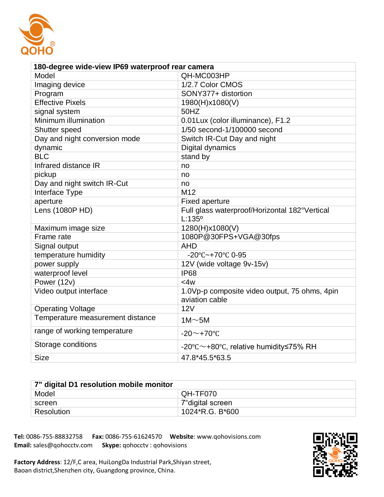

| 180-degree wide-view IP69 waterproof rear camera |                                                                    |  |
|--------------------------------------------------|--------------------------------------------------------------------|--|
| Model                                            | QH-MC003HP                                                         |  |
| Imaging device                                   | 1/2.7 Color CMOS                                                   |  |
| Program                                          | SONY377+ distortion                                                |  |
| <b>Effective Pixels</b>                          | 1980(H)x1080(V)                                                    |  |
| signal system                                    | 50HZ                                                               |  |
| Minimum illumination                             | 0.01Lux (color illuminance), F1.2                                  |  |
| Shutter speed                                    | 1/50 second-1/100000 second                                        |  |
| Day and night conversion mode                    | Switch IR-Cut Day and night                                        |  |
| dynamic                                          | Digital dynamics                                                   |  |
| <b>BLC</b>                                       | stand by                                                           |  |
| Infrared distance IR                             | no                                                                 |  |
| pickup                                           | no                                                                 |  |
| Day and night switch IR-Cut                      | no                                                                 |  |
| Interface Type                                   | M <sub>12</sub>                                                    |  |
| aperture                                         | <b>Fixed aperture</b>                                              |  |
| Lens (1080P HD)                                  | Full glass waterproof/Horizontal 182°Vertical<br>$L:135^{\circ}$   |  |
| Maximum image size                               | 1280(H)x1080(V)                                                    |  |
| Frame rate                                       | 1080P@30FPS+VGA@30fps                                              |  |
| Signal output                                    | <b>AHD</b>                                                         |  |
| temperature humidity                             | $-20^{\circ}$ C $-+70^{\circ}$ C 0-95                              |  |
| power supply                                     | 12V (wide voltage 9v-15v)                                          |  |
| waterproof level                                 | <b>IP68</b>                                                        |  |
| Power (12v)                                      | <4w                                                                |  |
| Video output interface                           | 1.0Vp-p composite video output, 75 ohms, 4pin<br>aviation cable    |  |
| <b>Operating Voltage</b>                         | 12V                                                                |  |
| Temperature measurement distance                 | $1M \sim 5M$                                                       |  |
| range of working temperature                     | $-20$ ~+70°C                                                       |  |
| Storage conditions                               | $-20^{\circ}$ C $\sim$ +80 $^{\circ}$ C, relative humidity <75% RH |  |
| <b>Size</b>                                      | 47.8*45.5*63.5                                                     |  |

| 7" digital D1 resolution mobile monitor |                   |
|-----------------------------------------|-------------------|
| Model                                   | QH-TF070          |
| screen                                  | 7" digital screen |
| Resolution                              | 1024*R.G. B*600   |



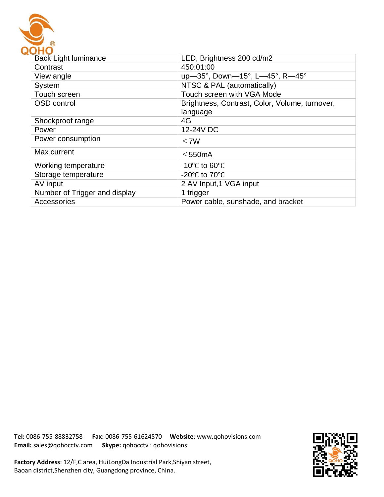

| <b>Back Light luminance</b>   | LED, Brightness 200 cd/m2                      |
|-------------------------------|------------------------------------------------|
| Contrast                      | 450:01:00                                      |
| View angle                    | up-35°, Down-15°, L-45°, R-45°                 |
| System                        | NTSC & PAL (automatically)                     |
| Touch screen                  | Touch screen with VGA Mode                     |
| <b>OSD</b> control            | Brightness, Contrast, Color, Volume, turnover, |
|                               | language                                       |
| Shockproof range              | 4G                                             |
| Power                         | 12-24V DC                                      |
| Power consumption             | $<$ 7W                                         |
| Max current                   | $<$ 550 $mA$                                   |
| Working temperature           | $-10^{\circ}$ C to 60 $^{\circ}$ C             |
| Storage temperature           | -20 $\degree$ C to 70 $\degree$ C              |
| AV input                      | 2 AV Input, 1 VGA input                        |
| Number of Trigger and display | 1 trigger                                      |
| Accessories                   | Power cable, sunshade, and bracket             |